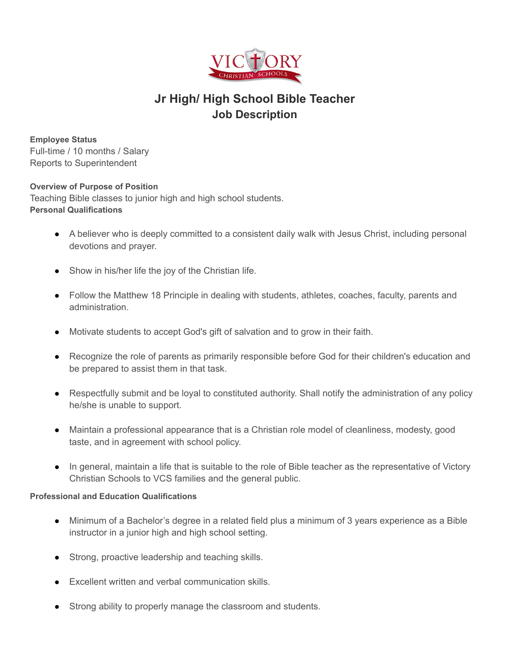

# **Jr High/ High School Bible Teacher Job Description**

**Employee Status** Full-time / 10 months / Salary Reports to Superintendent

#### **Overview of Purpose of Position**

Teaching Bible classes to junior high and high school students. **Personal Qualifications**

- A believer who is deeply committed to a consistent daily walk with Jesus Christ, including personal devotions and prayer.
- Show in his/her life the joy of the Christian life.
- Follow the Matthew 18 Principle in dealing with students, athletes, coaches, faculty, parents and administration.
- Motivate students to accept God's gift of salvation and to grow in their faith.
- Recognize the role of parents as primarily responsible before God for their children's education and be prepared to assist them in that task.
- Respectfully submit and be loyal to constituted authority. Shall notify the administration of any policy he/she is unable to support.
- Maintain a professional appearance that is a Christian role model of cleanliness, modesty, good taste, and in agreement with school policy.
- In general, maintain a life that is suitable to the role of Bible teacher as the representative of Victory Christian Schools to VCS families and the general public.

#### **Professional and Education Qualifications**

- Minimum of a Bachelor's degree in a related field plus a minimum of 3 years experience as a Bible instructor in a junior high and high school setting.
- Strong, proactive leadership and teaching skills.
- Excellent written and verbal communication skills.
- Strong ability to properly manage the classroom and students.